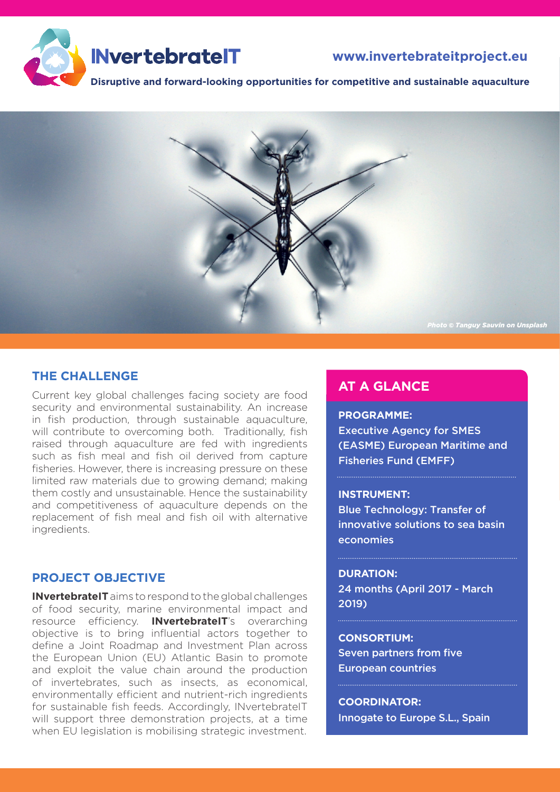

# **[www.invertebrateitproject.eu](http://www.invertebrateitproject.eu)**

**Disruptive and forward-looking opportunities for competitive and sustainable aquaculture**



## **THE CHALLENGE**

Current key global challenges facing society are food security and environmental sustainability. An increase in fish production, through sustainable aquaculture, will contribute to overcoming both. Traditionally, fish raised through aquaculture are fed with ingredients such as fish meal and fish oil derived from capture fisheries. However, there is increasing pressure on these limited raw materials due to growing demand; making them costly and unsustainable. Hence the sustainability and competitiveness of aquaculture depends on the replacement of fish meal and fish oil with alternative ingredients.

### **PROJECT OBJECTIVE**

**INvertebrateIT** aims to respond to the global challenges of food security, marine environmental impact and resource efficiency. **INvertebrateIT**'s overarching objective is to bring influential actors together to define a Joint Roadmap and Investment Plan across the European Union (EU) Atlantic Basin to promote and exploit the value chain around the production of invertebrates, such as insects, as economical, environmentally efficient and nutrient-rich ingredients for sustainable fish feeds. Accordingly, INvertebrateIT will support three demonstration projects, at a time when EU legislation is mobilising strategic investment.

# **AT A GLANCE**

#### **PROGRAMME:**

Executive Agency for SMES (EASME) European Maritime and Fisheries Fund (EMFF)

#### **INSTRUMENT:**

Blue Technology: Transfer of innovative solutions to sea basin economies

#### **DURATION:**

24 months (April 2017 - March 2019)

#### **CONSORTIUM:**

Seven partners from five European countries

**COORDINATOR:** Innogate to Europe S.L., Spain